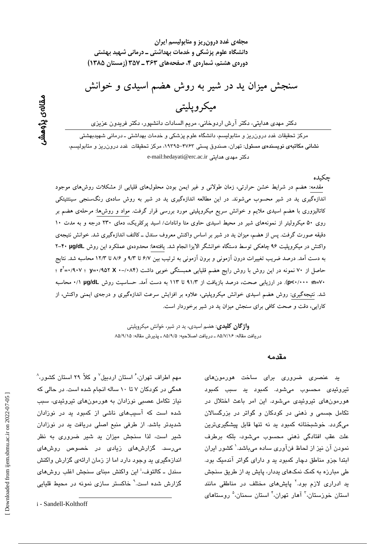Downloaded from ijem.sbmu.ac.ir on 2022-07-05

مهم اطراف تهران، ٔ استان اردبیل $^\vee$  و کلاً ۲۹ استان کشور، $^\wedge$ همگی در کودکان ۷ تا ۱۰ ساله انجام شده است. در حالی که نیاز تکامل عصبی نوزادان به هورمونهای تیروئیدی، سبب شده است که آسیبهای ناشی از کمبود ید در نوزادان شدیدتر باشد. از طرفی منبع اصلی دریافت ید در نوزادان شیر است، لذا سنجش میزان بد شیر ضروری به نظر میرسد. گزارشهای زیادی در خصوص روشهای اندازهگیری بد وجود دارد اما از زمان ارائهی گزارش واکنش سندل ـ کالتوف،<sup>ن</sup>این واکنش مینای سنجش اغلب روشهای

گزارش شده است.<sup>۹</sup> خاکستر سازی نمونه در محیط قلیایی

مجلهی غدد درون ریز و متابولیسم ایران دانشگاه علوم پزشکی و خدمات بهداشتی ــ درمانی شهید بهشتی دورهی هشتم، شمارهی ۴، صفحههای ۳۶۳ ـ ۳۵۷ (زمستان ۱۳۸۵)

سنجش میزان ید در شیر به روش هضم اسیدی و خوانش

# ميكر ويليتي

دکتر مهدی هدایتی، دکتر آرش اردوخانی، مریم السادات دانشپور، دکتر فریدون عزیزی

مرکز تحقیقات غدد درون٫ریز و متابولیسم، دانشگاه علوم پزشکی و خدمات بهداشتی ـ درمانی شهیدبهشتی نشانی مکاتبهی نویسندهی مسئول: تهران، صندوق پستی ۴۷۶۲–۱۹۳۹ه مرکز تحقیقات غدد درورزریز و متابولسیم، e-mail:hedayati@erc.ac.ir دكتر مهدى هدايتى

جكىدە

مقدمه: هضم در شرایط خشن حرارتی، زمان طولانی و غیر ایمن بودن محلولهای قلیایی از مشکلات روش های موجود اندازهگیری ید در شیر محسوب میشوند. در این مطالعه اندازهگیری ید در شیر به روش سادهی رنگسنجی سینتتیتکی کاتالیزوری با هضم اسیدی ملایم و خوانش سریع میکروپلیتی مورد بررسی قرار گرفت. مواد و روشها: مرحلهی هضم بر روی ۵۰ میکرولیتر از نمونههای شیر در محیط اسیدی حاوی متا وانادات/ اسید پرکلریک، دمای ۲۳۰ درجه و به مدت ۱۰ دقیقه صورت گرفت. پس از هضم، میزان ید در شیر بر اساس واکنش معروف سندل ــ کالتف اندازهگیری شد. خوانش نتیجهی واکنش در میکروپلیت ۹۶ چاهکی توسط دستگاه خوانشگر الایزا انجام شد. یافتهها: محدودهی عملکرد این روش ۴۰ µg/dL به دست آمد. درصد ضریب تغییرات درون آزمونی و برون آزمونی به ترتیب بین ۶/۷ تا ۹/۳ و ۸/۶ تا ۱۲/۳ محاسبه شد. نتایج حاصل از ۷۰ نمونه در این روش با روش رایج هضم قلیایی همبستگی خوبی داشت (۸۴/-۰ x =۰/۹۰۷ ؛ ۰/۹۰۷ آ +v=(p<-/··· (p<-/··· ). در ارزیابی صحت، درصد بازیافت از ۹۱/۳ تا ۱۱۳ به دست آمد. حساسیت روش µg/dL //· محاسبه شد. نتیجهگیری: روش هضم اسیدی خوانش میکروپلیتی، علاوه بر افزایش سرعت اندازهگیری و درجهی ایمنی واکنش، از کارایی، دقت و صحت کافی برای سنجش میزان ید در شیر برخوردار است.

> **واژ گان کلیدی**: هضم اسیدی، ید در شیر، خوانش میکروپلیتی دريافت مقاله: ۸۵/۷/۱۶ ـ دريافت اصلاحيه: ۸۵/۹/۵ ـ يذيرش مقاله: ۸۵/۹/۱۵

> > مقدمه

ید عنصری ضروری برای ساخت هورمونهای تیروئی*دی* محسوب میشود. کمبود ید سبب کمبود هورمونهای تیروئیدی می شود. این امر باعث اختلال در تکامل جسمی و ذهنی در کودکان و گواتر در بزرگسالان می،گردد. خوشبختانه کمبود ید نه تنها قابل پیشگیریترین علت عقب افتادگی ذهنی محسوب میشود، بلکه برطرف نمودن آن نیز از لحاظ فنآوری ساده میباشد.<sup>\</sup> کشور ایران ابتدا جزو مناطق دچار کمبود ید و دارای گواتر آندمیک بود. طی مبارزه به کمک نمکهای بددار، پایش بد از طریق سنجش ید ادراری لازم بود.<sup>۲</sup> پایشهای مختلف در مناطقی مانند استان خوزستان،<sup>۳</sup> آهار تهران،<sup>۴</sup> استان سمنان،<sup>۵</sup> روستا*ه*ای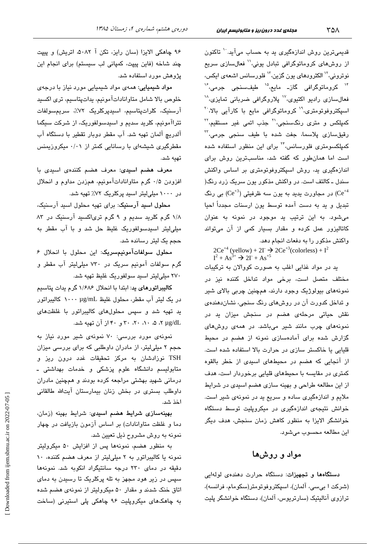قدیمیترین روش اندازهگیری بد به حساب میآید. `` تاکنون از روشهای کروماتوگرافی تبادل یونی،'' فعالسازی سریع نوترونی،<sup>۱۲</sup> الکترود*ه*ای یون گزین،<sup>۱۳</sup> فلورسانس اشعهی ایکس، <sup>۱۴</sup> کروماتوگرافی گاز۔ مایع،<sup>۱۵</sup> طیفسنجی جرمی،<sup>۴</sup> فعالسازی رادیو اکتیوی،<sup>۱۷</sup> پلاروگرافی ضربانی تمایزی،<sup>۱۸</sup> اسیکتروفوتومتری،<sup>۱۹</sup> کروماتوگرافی مایع با کارآیی بالا،<sup>۲۰</sup> کمپلکس و متر*ی* رنگسنجی،<sup>۲۱</sup> جذب اتمی غیر مستقیم،<sup>۲۲</sup> رقيقسازی پلاسما، جفت شده با طيف سنجی جرمی،<sup>۳</sup> کمپلکسومتری فلورسانس،<sup>۲۲</sup> برای این منظور استفاده شده است اما همان طور که گفته شد، مناسبترین روش برای اندازهگیری ید، روش اسپکتروفوتومتری بر اساس واکنش سندل ـ کالتف است. در واکنش مذکور یون سریک زرد رنگ( در مجاورت پدید به یون سه ظرفیتی ( $\rm Ce^{+3})$  بی رنگ (Ce $^{+4}$ تبدیل و ید به دست آمده توسط یون ارسنات مجدداً احیا می شود. به این ترتیب ید موجود در نمونه به عنوان کاتالیزور عمل کرده و مقدار بسیار کمی از آن میتواند واکنش مذکور را به دفعات انجام دهد.

 $2Ce^{+4}$  (yellow) +  $2I \rightarrow 2Ce^{+3}$  (colorless) +  $I^2$ <br> $I^2 + As^{3+} \rightarrow 2I + As^{5}$ 

ید در مواد غذایی اغلب به صورت کووالان به ترکیبات مختلف متصل است، برخی مواد تداخل کننده نیز در نمونههای بیولوژیک وجود دارند، همچنین چربی بالای شیر و تداخل کدورت آن در روشهای رنگ سنجی، نشان دهندهی نقش حیاتی مرحلهی هضم در سنجش میزان ید در نمونههای چرب مانند شیر میباشد. در همهی روشهای گزارش شده برای آمادهسازی نمونه از هضم در محبط قلیایی یا خاکستر سازی در حرارت بالا استفاده شده است. از آنجایی که هضم در محیطهای اسیدی از خطر بالقوه کمتری در مقایسه با محیطهای قلیایی برخوردار است، هدف از این مطالعه طراحی و بهینه سازی هضم اسیدی در شرایط ملايم و اندازهگيري ساده و سريع يد در نمونهي شير است. خوانش نتیجهی اندازهگیری در میکروپلیت توسط دستگاه خوانشگر الایزا به منظور کاهش زمان سنجش، هدف دیگر اين مطالعه محسوب مي شود.

### مواد و روشها

دستگاهها و تجهیزات: دستگاه حرارت دهندهی لولهایی (شركت ا بىسى، آلمان)، اسپكتروفوتومتر(سكومام، فرانسه)، ترازوی آنالیتیک (سارتریوس، آلمان)، دستگاه خوانشگر پلیت

۹۶ چاهکی الایزا (سان رایز، تکن آ ۵۰۸۲، اتریش) و پیپت چند شاخه (فاین پیپت، کمپانی لب سیستم) برای انجام این یژوهش مورد استفاده شد.

دورهی هشتم، شمارهی ۴، زمستان ۱۳۸۵

مواد شیمیایی: همهی مواد شیمیایی مورد نیاز با درجهی خلوص بالا شامل متاواناداتآمونیم، بداتپتاسیم، تری اکسید آرسنيک، کلراتيتاسيم، اسيديرکلريک ٧٢٪، سريمسولفات تتراآمونیم، کلرید سدیم و اسیدسولفوریک، از شرکت سیگما آلدریچ آلمان تهیه شد. آب مقطر دوبار تقطیر با دستگاه آب مقطرگیری شیشهای با رسانایی کمتر از ۰/۰۱ میکروزیمنس تهيه شد.

معرف هضم اسیدی: معرف هضم کنندهی اسیدی با افزودن ۰/۵ گرم متاواناداتآمونیم، همزدن مداوم و انحلال در ۱۰۰۰ میلی لیتر اسید پرکلریک ۷۲٪ تهیه شد.

محلول اسيد آرسنيک: برای تهيه محلول اسيد آرسنيک، ١/٨ گرم کلرید سدیم و ٩ گرم تریاکسید آرسنیک در ٨٣ میلی لیتر اسیدسولفوریک غلیظ حل شد و با آب مقطر به حجم یک لیتر رسانده شد.

محلول سولفات آمونيمسريک: اين محلول با انحلال ۶ گرم سولفات آمونیم سریک در ۷۳۰ میلی لیتر آب مقطر و ۲۷۰ میلی لیتر اسید سولفوریک غلیظ تهیه شد.

کالیبراتورهای ید: ابتدا با انحلال ۱/۶۸۶ گرم یدات پتاسیم در یک لیتر آب مقطر، محلول غلیظ ۱۰۰۰ µg/mL کالیبراتور ید تهیه شد و سپس محلولهای کالیبراتور با غلظتهای x µg/dL ، ۵، ۰۸، ۲۰، ۳۰ و ۴۰ از آن تهیه شد.

نمونهی مورد بررسی: ۷۰ نمونهی شیر مورد نیاز به حجم ۲ میلی!یتر، از مادران داوطلبی که برای بررسی میزان TSH نوزادشان به مرکز تحقیقات غدد درون ریز و متابولیسم دانشگاه علوم پزشکی و خدمات بهداشتی ـ درمانی شهید بهشتی مراجعه کرده بودند و همچنین مادران داوطلب بستری در بخش زنان بیمارستان آیتالله طالقانی اخذ شد.

بهینهسازی شرایط هضم اسیدی: شرایط بهینه (زمان، دما و غلظت متاوانادات) بر اساس آزمون بازیافت در چهار نمونه به روش مشروح ذیل تعیین شد.

به منظور هضم، نمونهها پس از افزایش ۵۰ میکرولیتر نمونه یا کالیبراتور به ۲ میلیلیتر از معرف هضم کننده، ۱۰ دقیقه در دمای ۲۳۰ درجه سانتیگراد انکوبه شد. نمونهها سپس در زیر هود مجهز به تله پرکلریک تا رسیدن به دمای اتاق خنک شدند و مقدار ۵۰ میکرولیتر از نمونهی هضم شده به چاهکهای میکروپلیت ۹۶ چاهکی پلی استیرنی (ساخت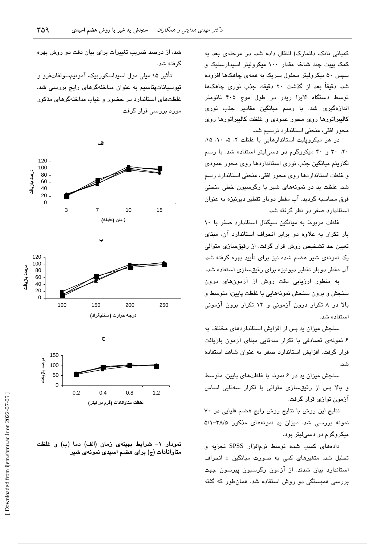کمیانی نانک، دانمارک) انتقال داده شد. در مرحلهی بعد به کمک پیپت چند شاخه مقدار ۱۰۰ میکرولیتر اسپدارسنیک و سیس ۵۰ میکرولیتر محلول سریک به همهی چاهکها افزوده شد. دقیقاً بعد از گذشت ۲۰ دقیقه، جذب نوری چاهکها توسط دستگاه الایزا ریدر در طول موج ۴۰۵ نانومتر اندازەگىرى شد. با رسم ميانگین مقادیر جذب نور*ى* كاليبراتورها روى محور عمودى و غلظت كاليبراتورها روى محور افقی، منحنی استاندارد ترسیم شد.

در هر میکرویلیت استاندارهایی با غلظت ۲، ۵، ۱، ۱۵، ۲۰، ۳۰ و ۴۰ میکروگرم در دسه لیتر استفاده شد. با رسم لگاریتم میانگین جذب نوری استانداردها روی محور عمودی و غلظت استانداردها روی محور افقی، منحنی استاندارد رسم شد. غلظت بد در نمونههای شیر با رگرسیون خطی منحنی فوق محاسبه گردید. آب مقطر دوبار تقطیر دیونیزه به عنوان استاندار د صفر در نظر گرفته شد.

غلظت مربوط به میانگین سیگنال استاندارد صفر با ۱۰ بار تکرار به علاوه دو برابر انحراف استاندارد آن، مبنای ۔<br>تعیین حد تشخیص روش قرار گرفت. از رقبق *س*ازی متوال*ی* یک نمونهی شیر هضم شده نیز برای تأیید بهره گرفته شد. آب مقطر دوبار تقطیر دیونیزه برای رقیقسازی استفاده شد.

به منظور ارزیابی دقت روش از آزمونهای درون سنجش و برون سنجش نمونههایی با غلظت پایین، متوسط و بالا در ۸ تکرار درون آزمونی و ۱۲ تکرار برون آزمونی استفاده شد.

سنجش میزان ید پس از افزایش استانداردهای مختلف به ۶ نمونهی تصادفی با تکرار سهتایی مبنای آزمون بازیافت قرار گرفت. افزایش استاندارد صفر به عنوان شاهد استفاده شد.

سنجش میزان ید در ۶ نمونه با غلظتهای پایین، متوسط و بالا پس از رقیقسازی متوالی با تکرار سهتایی اساس آزمون توازی قرار گرفت.

نتایج این روش با نتایج روش رایج هضم قلیایی در ۷۰ نمونه بررسی شد. میزان ید نمونههای مذکور ۳۸/۵–۵/۱ میکروگرم در دسی!یتر بود.

دادههای کسب شده توسط نرمافزار SPSS تجزیه و تحلیل شد. متغیرهای کمی به صورت مبانگین ± انحراف استاندارد بیان شدند. از آزمون رگرسیون پیرسون جهت بررسی همبستگی دو روش استفاده شد. همانطور که گفته

شد، از درصد ضریب تغییرات برای بیان دقت دو روش بهره گ فته شد.

تأثیر ۱۵ میلی مول اسیداسکوربیک، آمونیمسولفاتفرو و تیوسیاناتپتاسیم به عنوان مداخلهگرهای رایج بررسی شد. غلظتهای استاندارد در حضور و غباب مداخلهگرهای مذکور مورد بررسی قرار گرفت.



نمودار ١- شرايط بهينهى زمان (الف) دما (ب) و غلظت متاوانادات (ج) برای هضم اسیدی نمونهی شیر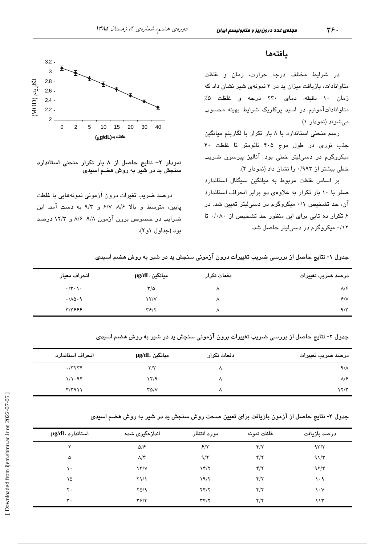### يافتهها

در شرایط مختلف درجه حرارت، زمان و غلظت متاوانادات، بازیافت میزان ید در ۴ نمونهی شیر نشان داد که زمان ١٠ دقيقه، دماى ٢٣٠ درجه و غلظت ۵٪ متاواناداتآمونیم در اسید پرکلریک شرایط بهینه محسوب میشوند (نمودار ۱)

رسم منحنی استاندارد با ۸ بار تکرار با لگاریتم میانگین جذب نوری در طول موج ۴۰۵ نانومتر تا غلظت ۴۰ میکروگرم در دسی لیتر خطی بود. آنالیز پیرسون ضریب خطی بیشتر از ۰/۹۹۳ را نشان داد (نمودار ۲).

بر اساس غلظت مربوط به میانگین سیگنال استاندارد صفر با ١٠ بار تكرار به علاوهى دو برابر انحراف استاندارد آن، حد تشخیص ۰/۱ میکروگرم در دسهالیتر تعیین شد. در ۶ تکرار ده تایی برای این منظور حد تشخیص از ۰/۰۸۰ تا ۰/۱۲ میکروگرم در دسیلیتر حاصل شد.



نمودار ٢- نتايج حاصل از ٨ بار تكرار منحنى استاندارد سنجش ید در شیر به روش هضم اسیدی

درصد ضریب تغیرات درون آزمونی نمونههایی با غلظت پایین، متوسط و بالا ۸/۶، ۶/۷، ۹/۲ به دست آمد. این ضراب در خصوص برون آزمون ۹/۸، ۸/۶، ۱۲/۲ درصد بود (جداول ۱و۲).

جدول ۱- نتایج حاصل از بررسی ضریب تغییرات درون آزمونی سنجش ید در شیر به روش هضم اسیدی

| انحراف معيار                       | سيانگين µg/dL             | دفعات تكرار | درصد ضريب تغييرات |
|------------------------------------|---------------------------|-------------|-------------------|
| $\cdot/\tau \cdot \setminus \cdot$ | ٣/۵                       |             | $\lambda$ /۶      |
| .700.9                             | $\frac{1}{\sqrt{2}}$      | л           | 8/1               |
| ۳/۳۶۶۶                             | $\mathbf{Y}$ $\mathbf{Y}$ |             | $9/\tau$          |

جدول ۲- نتایج حاصل از بررسی ضریب تغییرات برون آزمونی سنجش ید در شیر به روش هضم اسیدی

| انحراف استاندارد | سانگین µg/dL            | دفعات تكرار | درصد ضريب تغييرات    |
|------------------|-------------------------|-------------|----------------------|
| $\cdot$ /۳۲۳۴    | $\mathbf{r}/\mathbf{r}$ |             | $9/\lambda$          |
| 1/1.98           | ۲/۹                     | л           | $\lambda$ /۶         |
| f/T911           | ۳۵/۷                    |             | $\frac{1}{\sqrt{2}}$ |

جدول ۳- نتایج حاصل از آزمون بازیافت برای تعیین صحت روش سنجش ید در شیر به روش هضم اسیدی

| $\mu$ استاندارد $\mu$ | اندازەگیری شدە         | مورد انتظار     | غلظت نمونه              | درصد بازيافت                  |
|-----------------------|------------------------|-----------------|-------------------------|-------------------------------|
| ۲                     | $\Delta$ /۶            | 8/7             | $\mathbf{f}/\mathbf{y}$ | 97/7                          |
| ۵                     | $\Lambda/\mathfrak{r}$ | 9/7             | $\mathbf{f}/\mathbf{y}$ | $91/\tau$                     |
| ١٠                    | $\frac{1}{\sqrt{2}}$   | $\gamma$        | $\mathbf{f}/\mathbf{f}$ | 95/                           |
| ۱۵                    | $\frac{1}{2}$          | 19/7            | $\mathbf{f}/\mathbf{f}$ | ۱۰۹                           |
| ٢٠                    | YQ/9                   | YY/Y            | $\mathbf{f}/\mathbf{f}$ | $\mathsf{v} \cdot \mathsf{v}$ |
| $\mathbf{r}$ .        | $\mathbf{y}$           | $\tau$ $\gamma$ | $\mathbf{f}/\mathbf{y}$ | ۱۱۳                           |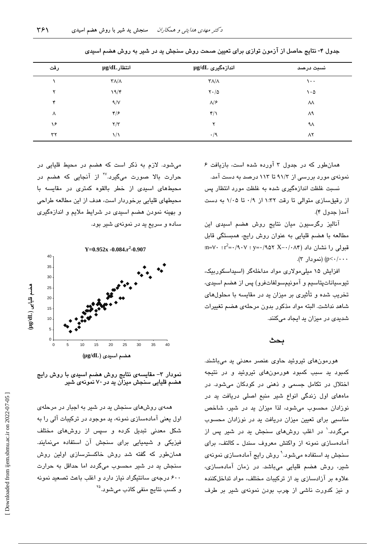| رقت | $\mu$ انتظار $\mu$                 | اندازەگىرى µg/dL                   | نسبت درصد     |
|-----|------------------------------------|------------------------------------|---------------|
|     | $\mathsf{r}\wedge\mathsf{r}\wedge$ | $\mathsf{r}\wedge\mathsf{r}\wedge$ | $\cdots$      |
| ۲   | 19/F                               | $\mathsf{Y}\cdot/\mathsf{Q}$       | $\cdot \circ$ |
| ۴   | 9/V                                | $\Lambda/\mathcal{F}$              | ٨٨            |
| Λ   | ۴۱۶                                | $\mathbf{r}/\mathbf{v}$            | ۸۹            |
| ۱۶  | $\tau/\tau$                        | ۲                                  | ٩٨            |
| ٣٢  | ۱۱                                 | $\cdot/9$                          | ۸۲            |

جدول ۴- نتایج حاصل از آزمون توازی برای تعیین صحت روش سنجش ید در شیر به روش هضم اسیدی

همانطور که در جدول ۳ آورده شده است، بازیافت ۶ نمونهی مورد بررسی از ۹۱/۳ تا ۱۱۳ درصد به دست آمد.

نسبت غلظت اندازهگیری شده به غلظت مورد انتظار پس از رقیقسازی متوالی تا رقت ۱:۳۲ از ۰/۹ تا ۱/۰۵ به دست آمد( جدول ۴).

آنالیز رگرسیون میان نتایج روش هضم اسیدی این مطالعه با هضم قلیایی به عنوان روش رایج، همبستگی قابل  $m = V \cdot r^2 = (A \cdot V \cdot y) = (A \cdot V \cdot X - A \cdot V)$ قبولی را نشان داد p<-/··· (نمو دار ۳).

افزایش ۱۵ میلی مولاری مواد مداخلهگر (اسپداسکوربیک، تيوسياناتپتاسيم و آمونيمسولفاتفرو) پس از هضم اسيدي، تخریب شده و تأثیری بر میزان بد در مقایسه با محلولهای شاهد نداشت. البته مواد مذكور بدون مرحلهى هضم تغييرات شدیدی در میزان ید ایجاد میکنند.

### ىحث

هورمونهای تیروئید حاوی عنصر معدنی ید میباشند. کمبود ید سبب کمبود هورمونهای تیروئید و در نتیجه اختلال در تکامل جسمی و ذهنی در کودکان میشود. در مادهای اول زندگی انواع شیر منبع اصلی دریافت ید در نوزادان محسوب می شود، لذا میزان ید در شیر، شاخص مناسبی برای تعیین میزان دریافت ید در نوزادان محسوب میگردد.<sup>۱</sup> در اغلب روشهای سنجش ید در شیر پس از آمادهسازی نمونه از واکنش معروف سندل ـ کالتف، برای سنجش ید استفاده میشود.<sup>۹</sup> روش رایج آمادهساز*ی* نمونه*ی* شیر، روش هضم قلیایی میباشد. در زمان آمادهسازی، علاوه بر آزادسازی بد از ترکیبات مختلف، مواد تداخلکننده و نیز کدورت ناشی از چرب بودن نمونهی شیر بر طرف

میشود. لازم به ذکر است که هضم در محیط قلیایی در حرارت بالا صورت میگیرد.<sup>۲۷</sup> از آنجایی که هضم در .<br>محیطهای اسی*دی* از خطر بالقوه کمتر*ی* در مقایسه با محیطهای قلیایی برخوردار است، هدف از این مطالعه طراحی و بهینه نمودن هضم اسیدی در شرایط ملایم و اندازهگیری ساده و سریع ید در نمونهی شیر بود.



نمودار ۳– مقایسهی نتایج روش هضم اسیدی با روش رایج هضم قلیایی سنجش میزان ید در ۷۰ نمونهی شیر

همهی روشهای سنجش ید در شیر به اجبار در مرحلهی اول یعنی آمادهسازی نمونه، ید موجود در ترکیبات آلی را به شکل معدنی تبدیل کرده و سپس از روشهای مختلف فیزیکی و شیمیایی برای سنجش آن استفاده مینمایند. همانطور که گفته شد روش خاکسترسازی اولین روش سنجش ید در شیر محسوب میگردد اما حداقل به حرارت ۶۰۰ درجهی سانتیگراد نیاز دارد و اغلب باعث تصعید نمونه و کسب ن**تایج** منف*ی* کاذب می،شود.<sup>۲۵</sup>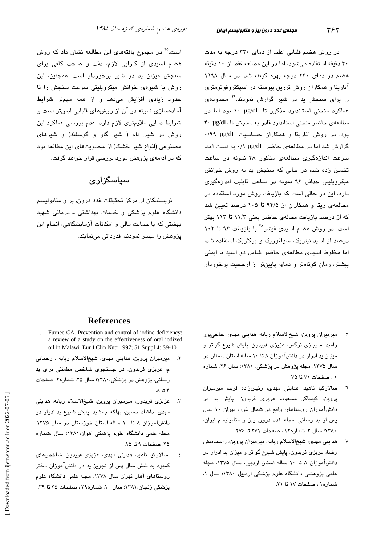در روش هضم قلیایی اغلب از دمای ۴۲۰ درجه به مدت ۳۰ دقیقه استفاده میشود، اما در این مطالعه فقط از ۱۰ دقیقه هضم در دمای ۲۳۰ درجه بهره گرفته شد. در سال ۱۹۹۸ آناریتا و همکاران روش تزریق پیوسته در اسپکتروفوتومتری را برای سنجش بد در شیر گزارش نمودند.<sup>۲۶</sup> محدودهی عملکرد منحنی استاندارد مذکور تا ۱۰ µg/dL بود اما در مطالعهى حاضر منحنى استاندارد قادر به سنجش تا ٢٠ µg/dL بود. در روش آناریتا و همکاران حساسیت ug/dL ۰/۹۹ گزارش شد اما در مطالعهی حاضر µg/dL ۰/۱ به دست آمد. سرعت اندازهگیری مطالعهی مذکور ۴۸ نمونه در ساعت تخمین زده شد، در حالی که سنجش پد به روش خوانش میکروپلیتی حداقل ۹۶ نمونه در ساعت قابلیت اندازهگیری دارد. این در حالی است که بازیافت روش مورد استفاده در مطالعهی ریتا و همکاران از ۹۴/۵ تا ۱۰۵ درصد تعیین شد که از درصد بازیافت مطالهی حاضر یعنی ۹۱/۳ تا ۱۱۳ بهتر است. در روش هضم اسیدی فیشر<sup>۲۵</sup> با بازیافت ۹۶ تا ۱۰۲ درصد از اسید نیتریک، سولفوریک و پرکلریک استفاده شد، اما مخلوط اسیدی مطالعهی حاضر شامل دو اسید با ایمنی بیشتر، زمان کوتاهتر و دمای پایینتر از ارجحیت برخوردار

است.<sup>۲۵</sup> در مجموع یافتههای این مطالعه نشان داد که روش هضم اسی*دی* از کارایی لازم، دقت و صحت کافی برای سنجش میزان ید در شیر برخوردار است. همچنین، این روش با شیوهی خوانش میکروپلیتی سرعت سنجش را تا حدود زیا*دی* افزایش میدهد و از همه مهمتر شرایط آمادهسازی نمونه در آن از روشهای قلیایی ایمنتر است و شرایط دمایی ملایمتری لازم دارد. عدم بررسی عملکرد این روش در شیر دام ( شیر گاو و گوسفند) و شیرهای مصنوعی (انواع شیر خشک) از محدویتهای این مطالعه بود که در ادامهی پژوهش مورد بررسی قرار خواهد گرفت.

## سیاسگزار ی

نویسندگان از مرکز تحقیقات غدد درون ریز و متابولیسم دانشگاه علوم پزشکی و خدمات بهداشتی ـ درمانی شهید ۔<br>بھشتی که یا حمایت مالی و امکانات آزمایشگاهی، انجام این پژوهش را میسر نمودند، قدردانی می،نمایند.

- ٥. میرمیران پروین، شیخالاسلام ربابه، هدایتی مه*دی،* حاجیپور رامبد، سربازی نرگس، عزیزی فریدون. پایش شیوع گواتر و میزان ید ادرار در دانشآموزان ۸ تا ۱۰ ساله استان سمنان در سال ۱۳۷۵. مجله پژوهش در پزشکی، ۱۳۸۱؛ سال ۲۶، شماره ٠١، صفحات ٧١ تا ٧٥.
- ٦. سالارکیا ناهید، هدایتی مهدی، رئیسزاده فربد، میرمیران پروین، کیمیاگر مسعود، عزیزی فریدون. پایش ید در دانشآموزان روستاهای واقع در شمال غرب تهران ١٠ سال پس از ید رسانی. مجله غدد درون ریز و متابولیسم ایران، ۱۳۸۰؛ سال ۳، شماره۱۲، صفحات ۲۷۱ تا ۲۷۶.
- ۷. هدایتی مهدی، شیخالاسلام ربابه، میرمیران پروین، راستمنش رضا، عزیزی فریدون. پایش شیوع گواتر و میزان ید ادرار در دانشآموزان ۸ تا ۱۰ ساله استان اردبیل، سال ۱۳۷۵. مجله علمی پژوهشی دانشگاه علوم پزشکی اردبیل ۱۳۸۰؛ سال ۱، شماره١، صفحات ١٧ تا ٢١.

### **References**

- 1. Furnee CA. Prevention and control of iodine deficiency: a review of a study on the effectiveness of oral iodized oil in Malawi. Eur J Clin Nutr 1997; 51 Suppl 4: S9-10.
- میرمیران پروین، هدایتی مهدی، شیخالاسلام ربابه ، رحمانی م، عزیزی فریدون. در جستجوی شاخص مطمئنی برای ید رسانی. پژوهش در پزشکی، ۱۳۸۰؛ سال ۲۵، شماره۲ ،صفحات  $\Lambda$  تا  $\tau$
- عزیزی فریدون، میرمیران پروین، شیخالاسلام ربابه، هدایتی  $\mathcal{F}$ مهدی، دلشاد حسین، بهلکه جمشید. پایش شیوع ید ادرار در دانشآموزان ۸ تا ۱۰ ساله استان خوزستان در سال ۱۳۷۵. مجله علمی دانشگاه علوم پزشکی اهواز،۱۳۸۱؛ سال ،شماره ۳۵، صفحات ۹ تا ۱۵.
- سالارکیا ناهید، هدایتی مهدی، عزیزی فریدون. شاخصهای ٤. کمبود بد شش سال پس از تجویز بد در دانشآموزان دختر روستاهای آهار تهران سال ۱۳۷۸. مجله علمی دانشگاه علوم پزشکی زنجان، ۱۳۸۱؛ سال ۱۰، شماره۳۹، صفحات ۳۵ تا ۳۹.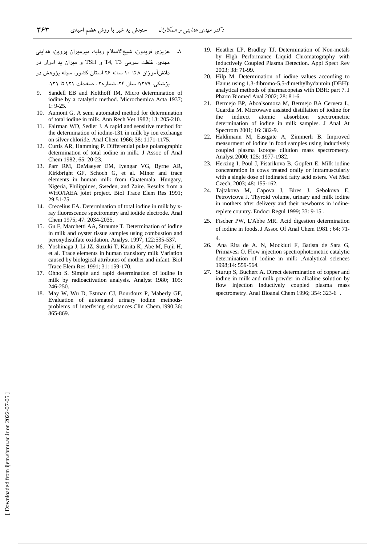۸ عزیزی فریدون، شیخالاسلام ربابه، میرمیران پروین، هدایتی مهدی. غلظت سرمی T4, T3 و TSH و میزان ید ادرار در دانش۱موزان ۸ تا ۱۰ ساله ۲۶ استان کشور. مجله پژوهش در پزشکی، ۱۳۷۹؛ سال ۲۴، شماره۲ ، صفحات ۱۲۱ تا ۱۳۱.

- Sandell EB and Kolthoff IM, Micro determination of iodine by a catalytic method. Microchemica Acta 1937; 1: 9-25.
- 10. Aumont G, A semi automated method for determination of total iodine in milk. Ann Rech Vet 1982; 13: 205-210.
- 11. Fairman WD, Sedlet J. A rapid and sensitive method for the determination of iodine-131 in milk by ion exchange on silver chloride. Anal Chem 1966; 38: 1171-1175.
- 12. Curtis AR, Hamming P. Differential pulse polarographic determination of total iodine in milk. J Assoc of Anal Chem 1982; 65: 20-23.
- 13. Parr RM, DeMaeyer EM, Iyengar VG, Byrne AR, Kirkbright GF, Schoch G, et al. Minor and trace elements in human milk from Guatemala, Hungary, Nigeria, Philippines, Sweden, and Zaire. Results from a WHO/IAEA joint project. Biol Trace Elem Res 1991; 29:51-75.
- 14. Crecelius EA. Determination of total iodine in milk by xray fluorescence spectrometry and iodide electrode. Anal Chem 1975; 47: 2034-2035.
- 15. Gu F, Marchetti AA, Straume T. Determination of iodine in milk and oyster tissue samples using combustion and peroxydisulfate oxidation. Analyst 1997; 122:535-537.
- 16. Yoshinaga J, Li JZ, Suzuki T, Karita K, Abe M, Fujii H, et al. Trace elements in human transitory milk Variation caused by biological attributes of mother and infant. Biol Trace Elem Res 1991; 31: 159-170.
- 17. Ohno S. Simple and rapid determination of iodine in milk by radioactivation analysis. Analyst 1980; 105: 246-250.
- 18. May W, Wu D, Estman CJ, Bourdoux P, Maberly GF, Evaluation of automated urinary iodine methodsproblems of interfering substances.Clin Chem,1990;36: 865-869.
- 19. Heather LP, Bradley TJ. Determination of Non-metals by High Performance Liquid Chromatography with Inductively Coupled Plasma Detection. Appl Spect Rev 2003; 38: 71-99.
- 20. Hilp M. Determination of iodine values according to Hanus using 1,3-dibromo-5,5-dimethylhydantoin (DBH): analytical methods of pharmacopeias with DBH: part 7. J Pharm Biomed Anal 2002; 28: 81-6.
- 21. Bermejo BP, Aboalsomoza M, Bermejo BA Cervera L, Guardia M. Microwave assisted distillation of iodine for the indirect atomic absorbtion spectrometric determination of iodine in milk samples. J Anal At Spectrom 2001; 16: 382-9.
- 22. Haldimann M, Eastgate A, Zimmerli B. Improved measurment of iodine in food samples using inductively coupled plasma isotope dilution mass spectrometry. Analyst 2000; 125: 1977-1982.
- 23. Herzing I, Poul J, Pisarikova B, Gopfert E. Milk iodine concentration in cows treated orally or intramuscularly with a single dose of iodinated fatty acid esters. Vet Med Czech, 2003; 48: 155-162.
- 24. Tajtakova M, Capova J, Bires J, Sebokova E, Petrovicova J. Thyroid volume, urinary and milk iodine in mothers after delivery and their newborns in iodinereplete country. Endocr Regul 1999; 33: 9-15 .
- 25. Fischer PW, L'Abbe MR. Acid digestion determination of iodine in foods. J Assoc Of Anal Chem 1981 ; 64: 71- 4.
- 26. Ana Rita de A. N, Mockiuti F, Batista de Sara G, Primavesi O. Flow injection spectrophotometric catalytic determination of iodine in milk .Analytical sciences 1998;14: 559-564.
- 27. Sturup S, Buchert A. Direct determination of copper and iodine in milk and milk powder in alkaline solution by flow injection inductively coupled plasma mass spectrometry. Anal Bioanal Chem 1996; 354: 323-6 .